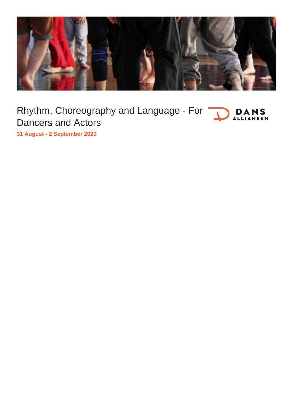

Rhythm, Choreography and Language - For **DANS** Dancers and Actors

**31 August - 2 September 2020**